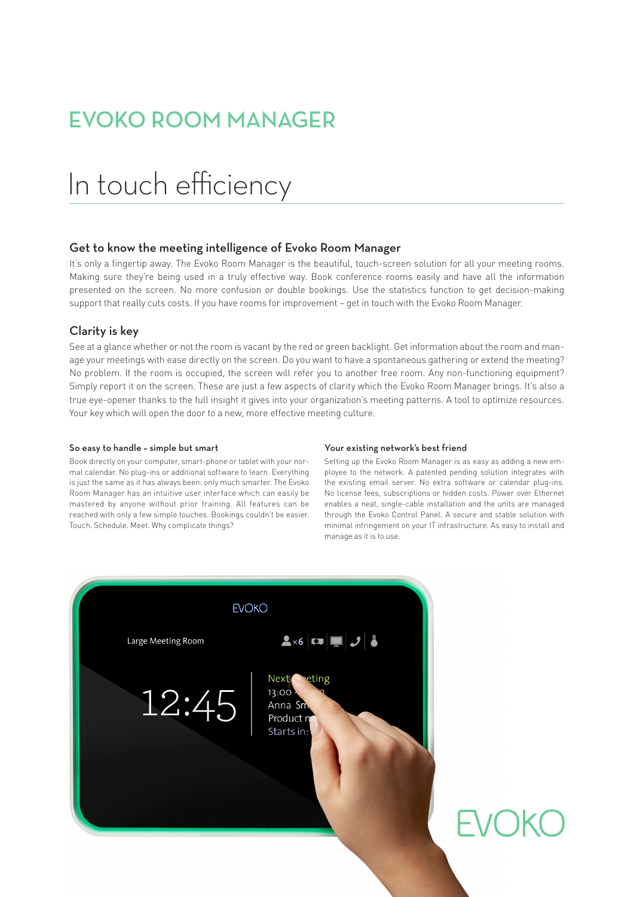### EVOKO ROOM MANAGER

# In touch efficiency

### Get to know the meeting intelligence of Evoko Room Manager

It's only a fingertip away. The Evoko Room Manager is the beautiful, touch-screen solution for all your meeting rooms. Making sure they're being used in a truly effective way. Book conference rooms easily and have all the information presented on the screen. No more confusion or double bookings. Use the statistics function to get decision-making support that really cuts costs. If you have rooms for improvement – get in touch with the Evoko Room Manager.

### Clarity is key

See at a glance whether or not the room is vacant by the red or green backlight. Get information about the room and manage your meetings with ease directly on the screen. Do you want to have a spontaneous gathering or extend the meeting? No problem. If the room is occupied, the screen will refer you to another free room. Any non-functioning equipment? Simply report it on the screen. These are just a few aspects of clarity which the Evoko Room Manager brings. It's also a true eye-opener thanks to the full insight it gives into your organization's meeting patterns. A tool to optimize resources. Your key which will open the door to a new, more effective meeting culture.

### So easy to handle – simple but smart

Book directly on your computer, smart-phone or tablet with your normal calendar. No plug-ins or additional software to learn. Everything is just the same as it has always been: only much smarter. The Evoko Room Manager has an intuitive user interface which can easily be mastered by anyone without prior training. All features can be reached with only a few simple touches. Bookings couldn't be easier. Touch. Schedule. Meet. Why complicate things?

#### Your existing network's best friend

Setting up the Evoko Room Manager is as easy as adding a new employee to the network. A patented pending solution integrates with the existing email server. No extra software or calendar plug-ins. No license fees, subscriptions or hidden costs. Power over Ethernet enables a neat, single-cable installation and the units are managed through the Evoko Control Panel. A secure and stable solution with minimal infringement on your IT infrastructure. As easy to install and manage as it is to use.